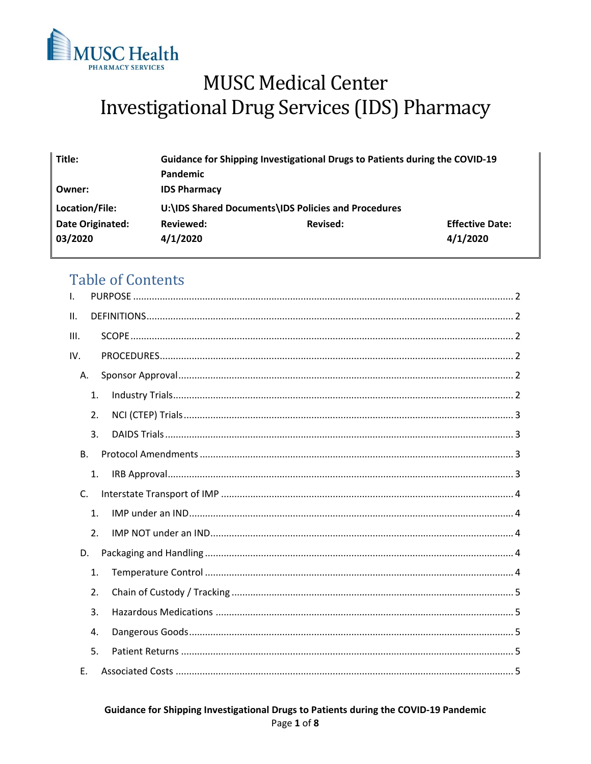

# **MUSC Medical Center Investigational Drug Services (IDS) Pharmacy**

| Title:           | Guidance for Shipping Investigational Drugs to Patients during the COVID-19 |          |                        |
|------------------|-----------------------------------------------------------------------------|----------|------------------------|
|                  | Pandemic                                                                    |          |                        |
| Owner:           | <b>IDS Pharmacy</b>                                                         |          |                        |
| Location/File:   | U:\IDS Shared Documents\IDS Policies and Procedures                         |          |                        |
| Date Originated: | Reviewed:                                                                   | Revised: | <b>Effective Date:</b> |
| 03/2020          | 4/1/2020                                                                    |          | 4/1/2020               |
|                  |                                                                             |          |                        |

# **Table of Contents**

| $\mathbf{I}$ . |                  |  |  |  |  |
|----------------|------------------|--|--|--|--|
| II.            |                  |  |  |  |  |
| III.           |                  |  |  |  |  |
| IV.            |                  |  |  |  |  |
| А.             |                  |  |  |  |  |
|                | 1.               |  |  |  |  |
|                | 2.               |  |  |  |  |
|                | 3.               |  |  |  |  |
| <b>B.</b>      |                  |  |  |  |  |
|                | 1.               |  |  |  |  |
|                | $\mathsf{C}$ .   |  |  |  |  |
|                | 1.               |  |  |  |  |
|                | 2.               |  |  |  |  |
| D.             |                  |  |  |  |  |
|                | 1.               |  |  |  |  |
|                | $\overline{2}$ . |  |  |  |  |
|                | 3.               |  |  |  |  |
|                | 4.               |  |  |  |  |
|                | 5.               |  |  |  |  |
| Е.             |                  |  |  |  |  |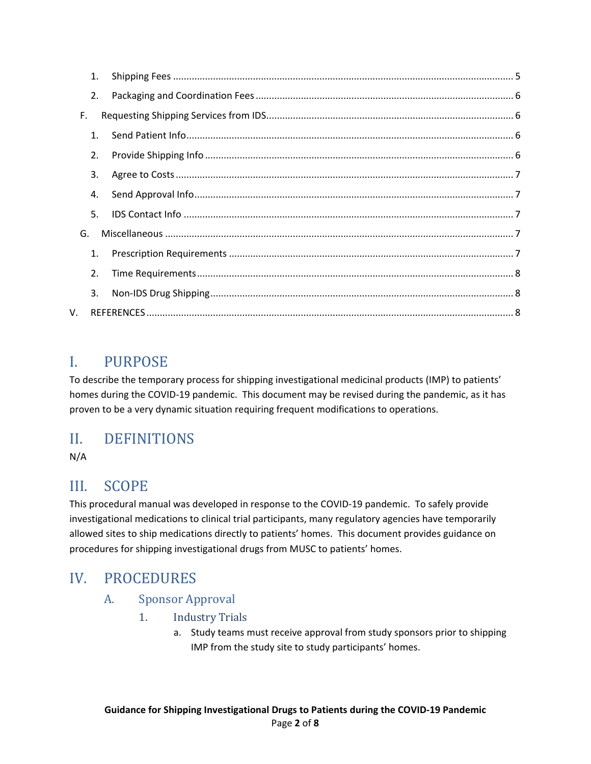|    | 1.             |  |  |  |  |
|----|----------------|--|--|--|--|
|    | 2.             |  |  |  |  |
| F. |                |  |  |  |  |
|    | $\mathbf{1}$ . |  |  |  |  |
|    | 2.             |  |  |  |  |
|    | 3.             |  |  |  |  |
|    | 4.             |  |  |  |  |
|    | 5.             |  |  |  |  |
| G. |                |  |  |  |  |
|    | 1.             |  |  |  |  |
|    | 2.             |  |  |  |  |
|    | 3.             |  |  |  |  |
| V. |                |  |  |  |  |

# <span id="page-1-0"></span>I. PURPOSE

To describe the temporary process for shipping investigational medicinal products (IMP) to patients' homes during the COVID-19 pandemic. This document may be revised during the pandemic, as it has proven to be a very dynamic situation requiring frequent modifications to operations.

# <span id="page-1-1"></span>II. DEFINITIONS

N/A

# <span id="page-1-2"></span>III. SCOPE

This procedural manual was developed in response to the COVID-19 pandemic. To safely provide investigational medications to clinical trial participants, many regulatory agencies have temporarily allowed sites to ship medications directly to patients' homes. This document provides guidance on procedures for shipping investigational drugs from MUSC to patients' homes.

# <span id="page-1-4"></span><span id="page-1-3"></span>IV. PROCEDURES

### <span id="page-1-5"></span>A. Sponsor Approval

- 1. Industry Trials
	- a. Study teams must receive approval from study sponsors prior to shipping IMP from the study site to study participants' homes.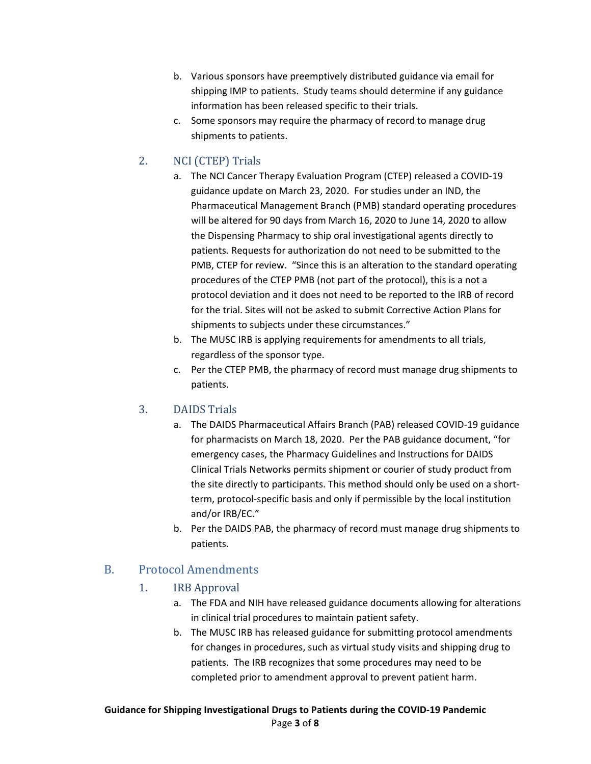- b. Various sponsors have preemptively distributed guidance via email for shipping IMP to patients. Study teams should determine if any guidance information has been released specific to their trials.
- c. Some sponsors may require the pharmacy of record to manage drug shipments to patients.

#### <span id="page-2-0"></span>2. NCI (CTEP) Trials

- a. The NCI Cancer Therapy Evaluation Program (CTEP) released a COVID-19 guidance update on March 23, 2020. For studies under an IND, the Pharmaceutical Management Branch (PMB) standard operating procedures will be altered for 90 days from March 16, 2020 to June 14, 2020 to allow the Dispensing Pharmacy to ship oral investigational agents directly to patients. Requests for authorization do not need to be submitted to the PMB, CTEP for review. "Since this is an alteration to the standard operating procedures of the CTEP PMB (not part of the protocol), this is a not a protocol deviation and it does not need to be reported to the IRB of record for the trial. Sites will not be asked to submit Corrective Action Plans for shipments to subjects under these circumstances."
- b. The MUSC IRB is applying requirements for amendments to all trials, regardless of the sponsor type.
- c. Per the CTEP PMB, the pharmacy of record must manage drug shipments to patients.

#### <span id="page-2-1"></span>3. DAIDS Trials

- a. The DAIDS Pharmaceutical Affairs Branch (PAB) released COVID-19 guidance for pharmacists on March 18, 2020. Per the PAB guidance document, "for emergency cases, the Pharmacy Guidelines and Instructions for DAIDS Clinical Trials Networks permits shipment or courier of study product from the site directly to participants. This method should only be used on a shortterm, protocol-specific basis and only if permissible by the local institution and/or IRB/EC."
- b. Per the DAIDS PAB, the pharmacy of record must manage drug shipments to patients.

#### <span id="page-2-3"></span><span id="page-2-2"></span>B. Protocol Amendments

#### 1. IRB Approval

- a. The FDA and NIH have released guidance documents allowing for alterations in clinical trial procedures to maintain patient safety.
- b. The MUSC IRB has released guidance for submitting protocol amendments for changes in procedures, such as virtual study visits and shipping drug to patients. The IRB recognizes that some procedures may need to be completed prior to amendment approval to prevent patient harm.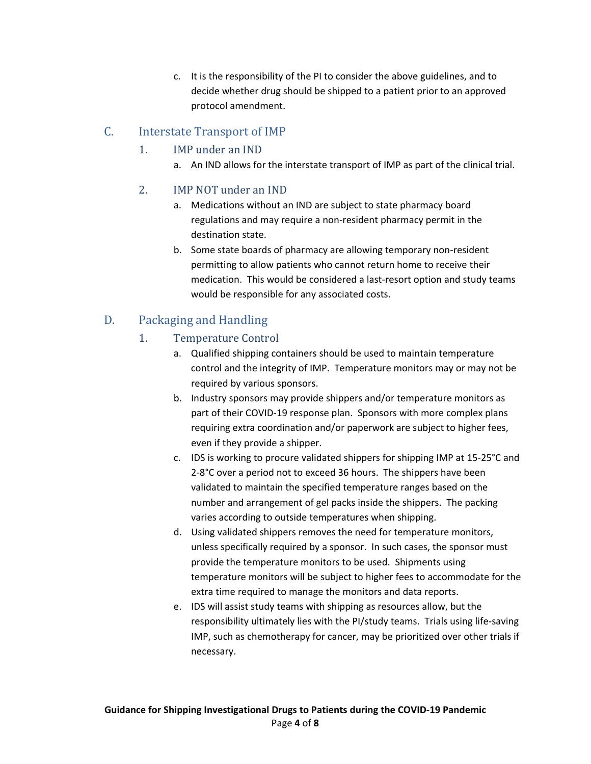c. It is the responsibility of the PI to consider the above guidelines, and to decide whether drug should be shipped to a patient prior to an approved protocol amendment.

### <span id="page-3-2"></span><span id="page-3-1"></span><span id="page-3-0"></span>C. Interstate Transport of IMP

#### 1. IMP under an IND

a. An IND allows for the interstate transport of IMP as part of the clinical trial.

#### 2. IMP NOT under an IND

- a. Medications without an IND are subject to state pharmacy board regulations and may require a non-resident pharmacy permit in the destination state.
- b. Some state boards of pharmacy are allowing temporary non-resident permitting to allow patients who cannot return home to receive their medication. This would be considered a last-resort option and study teams would be responsible for any associated costs.

### <span id="page-3-4"></span><span id="page-3-3"></span>D. Packaging and Handling

#### 1. Temperature Control

- a. Qualified shipping containers should be used to maintain temperature control and the integrity of IMP. Temperature monitors may or may not be required by various sponsors.
- b. Industry sponsors may provide shippers and/or temperature monitors as part of their COVID-19 response plan. Sponsors with more complex plans requiring extra coordination and/or paperwork are subject to higher fees, even if they provide a shipper.
- c. IDS is working to procure validated shippers for shipping IMP at 15-25°C and 2-8°C over a period not to exceed 36 hours. The shippers have been validated to maintain the specified temperature ranges based on the number and arrangement of gel packs inside the shippers. The packing varies according to outside temperatures when shipping.
- d. Using validated shippers removes the need for temperature monitors, unless specifically required by a sponsor. In such cases, the sponsor must provide the temperature monitors to be used. Shipments using temperature monitors will be subject to higher fees to accommodate for the extra time required to manage the monitors and data reports.
- e. IDS will assist study teams with shipping as resources allow, but the responsibility ultimately lies with the PI/study teams. Trials using life-saving IMP, such as chemotherapy for cancer, may be prioritized over other trials if necessary.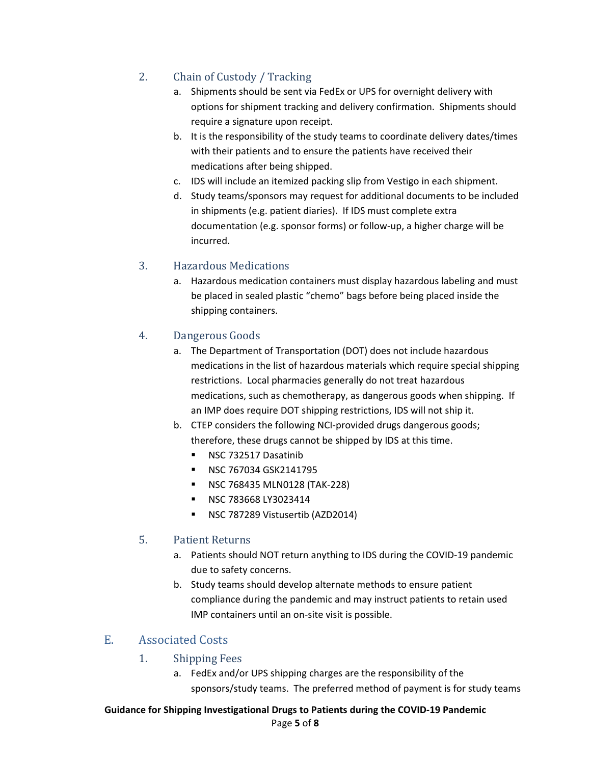### <span id="page-4-0"></span>2. Chain of Custody / Tracking

- a. Shipments should be sent via FedEx or UPS for overnight delivery with options for shipment tracking and delivery confirmation. Shipments should require a signature upon receipt.
- b. It is the responsibility of the study teams to coordinate delivery dates/times with their patients and to ensure the patients have received their medications after being shipped.
- c. IDS will include an itemized packing slip from Vestigo in each shipment.
- d. Study teams/sponsors may request for additional documents to be included in shipments (e.g. patient diaries). If IDS must complete extra documentation (e.g. sponsor forms) or follow-up, a higher charge will be incurred.

#### <span id="page-4-1"></span>3. Hazardous Medications

a. Hazardous medication containers must display hazardous labeling and must be placed in sealed plastic "chemo" bags before being placed inside the shipping containers.

#### <span id="page-4-2"></span>4. Dangerous Goods

- a. The Department of Transportation (DOT) does not include hazardous medications in the list of hazardous materials which require special shipping restrictions. Local pharmacies generally do not treat hazardous medications, such as chemotherapy, as dangerous goods when shipping. If an IMP does require DOT shipping restrictions, IDS will not ship it.
- b. CTEP considers the following NCI-provided drugs dangerous goods; therefore, these drugs cannot be shipped by IDS at this time.
	- **NSC 732517 Dasatinib**
	- **NSC 767034 GSK2141795**
	- **NSC 768435 MLN0128 (TAK-228)**
	- **NSC 783668 LY3023414**
	- NSC 787289 Vistusertib (AZD2014)

#### <span id="page-4-3"></span>5. Patient Returns

- a. Patients should NOT return anything to IDS during the COVID-19 pandemic due to safety concerns.
- b. Study teams should develop alternate methods to ensure patient compliance during the pandemic and may instruct patients to retain used IMP containers until an on-site visit is possible.

#### <span id="page-4-5"></span><span id="page-4-4"></span>E. Associated Costs

#### 1. Shipping Fees

a. FedEx and/or UPS shipping charges are the responsibility of the sponsors/study teams. The preferred method of payment is for study teams

# **Guidance for Shipping Investigational Drugs to Patients during the COVID-19 Pandemic**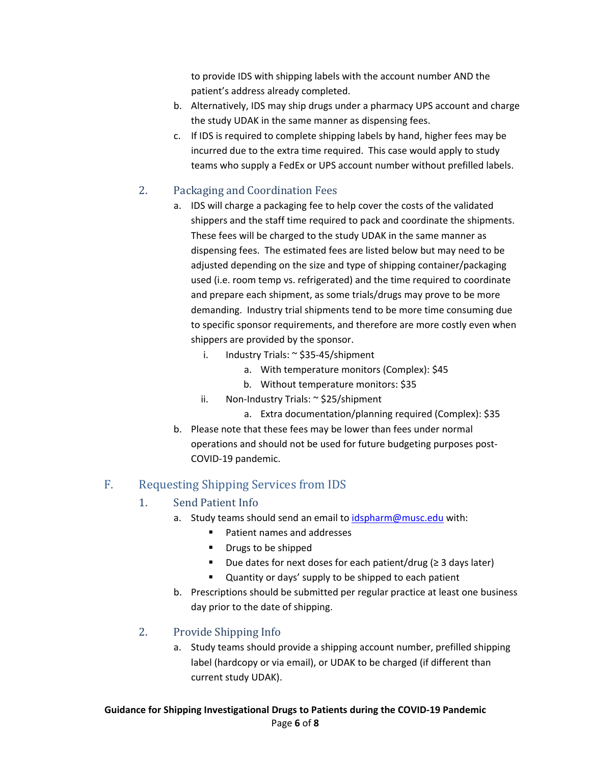to provide IDS with shipping labels with the account number AND the patient's address already completed.

- b. Alternatively, IDS may ship drugs under a pharmacy UPS account and charge the study UDAK in the same manner as dispensing fees.
- c. If IDS is required to complete shipping labels by hand, higher fees may be incurred due to the extra time required. This case would apply to study teams who supply a FedEx or UPS account number without prefilled labels.

#### <span id="page-5-0"></span>2. Packaging and Coordination Fees

- a. IDS will charge a packaging fee to help cover the costs of the validated shippers and the staff time required to pack and coordinate the shipments. These fees will be charged to the study UDAK in the same manner as dispensing fees. The estimated fees are listed below but may need to be adjusted depending on the size and type of shipping container/packaging used (i.e. room temp vs. refrigerated) and the time required to coordinate and prepare each shipment, as some trials/drugs may prove to be more demanding. Industry trial shipments tend to be more time consuming due to specific sponsor requirements, and therefore are more costly even when shippers are provided by the sponsor.
	- i. Industry Trials: ~ \$35-45/shipment
		- a. With temperature monitors (Complex): \$45
		- b. Without temperature monitors: \$35
	- ii. Non-Industry Trials: ~ \$25/shipment
		- a. Extra documentation/planning required (Complex): \$35
- b. Please note that these fees may be lower than fees under normal operations and should not be used for future budgeting purposes post-COVID-19 pandemic.

### <span id="page-5-2"></span><span id="page-5-1"></span>F. Requesting Shipping Services from IDS

#### 1. Send Patient Info

- a. Study teams should send an email t[o idspharm@musc.edu](mailto:idspharm@musc.edu) with:
	- Patient names and addresses
	- **•** Drugs to be shipped
	- Due dates for next doses for each patient/drug ( $\geq$  3 days later)
	- Quantity or days' supply to be shipped to each patient
- b. Prescriptions should be submitted per regular practice at least one business day prior to the date of shipping.

#### <span id="page-5-3"></span>2. Provide Shipping Info

a. Study teams should provide a shipping account number, prefilled shipping label (hardcopy or via email), or UDAK to be charged (if different than current study UDAK).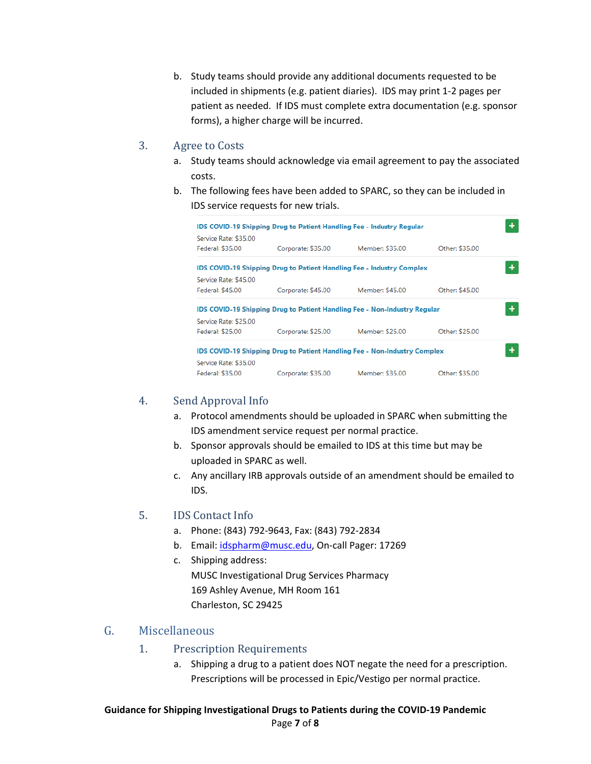b. Study teams should provide any additional documents requested to be included in shipments (e.g. patient diaries). IDS may print 1-2 pages per patient as needed. If IDS must complete extra documentation (e.g. sponsor forms), a higher charge will be incurred.

#### <span id="page-6-0"></span>3. Agree to Costs

- a. Study teams should acknowledge via email agreement to pay the associated costs.
- b. The following fees have been added to SPARC, so they can be included in IDS service requests for new trials.

| IDS COVID-19 Shipping Drug to Patient Handling Fee - Industry Regular            |                                                                       |                 |                |  |  |  |
|----------------------------------------------------------------------------------|-----------------------------------------------------------------------|-----------------|----------------|--|--|--|
| Service Rate: \$35.00<br>Federal: \$35.00                                        | Corporate: \$35.00                                                    | Member: \$35.00 | Other: \$35.00 |  |  |  |
| Service Rate: \$45.00                                                            | IDS COVID-19 Shipping Drug to Patient Handling Fee - Industry Complex |                 |                |  |  |  |
| Federal: \$45.00                                                                 | Corporate: \$45.00                                                    | Member: \$45.00 | Other: \$45.00 |  |  |  |
| <b>IDS COVID-19 Shipping Drug to Patient Handling Fee - Non-Industry Regular</b> |                                                                       |                 |                |  |  |  |
| Service Rate: \$25.00<br>Federal: \$25.00                                        | Corporate: \$25.00                                                    | Member: \$25.00 | Other: \$25.00 |  |  |  |
| <b>IDS COVID-19 Shipping Drug to Patient Handling Fee - Non-Industry Complex</b> |                                                                       |                 |                |  |  |  |
| Service Rate: \$35.00<br>Federal: \$35.00                                        | Corporate: \$35.00                                                    | Member: \$35.00 | Other: \$35.00 |  |  |  |

#### <span id="page-6-1"></span>4. Send Approval Info

- a. Protocol amendments should be uploaded in SPARC when submitting the IDS amendment service request per normal practice.
- b. Sponsor approvals should be emailed to IDS at this time but may be uploaded in SPARC as well.
- c. Any ancillary IRB approvals outside of an amendment should be emailed to IDS.

#### <span id="page-6-2"></span>5. IDS Contact Info

- a. Phone: (843) 792-9643, Fax: (843) 792-2834
- b. Email: [idspharm@musc.edu,](mailto:idspharm@musc.edu) On-call Pager: 17269
- c. Shipping address: MUSC Investigational Drug Services Pharmacy 169 Ashley Avenue, MH Room 161 Charleston, SC 29425

#### <span id="page-6-4"></span><span id="page-6-3"></span>G. Miscellaneous

- 1. Prescription Requirements
	- a. Shipping a drug to a patient does NOT negate the need for a prescription. Prescriptions will be processed in Epic/Vestigo per normal practice.